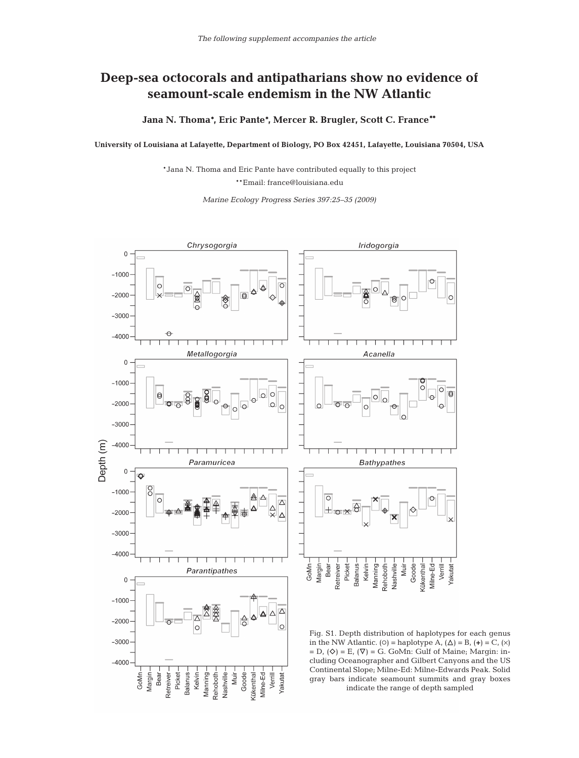## **Deep-sea octocorals and antipatharians show no evidence of seamount-scale endemism in the NW Atlantic**

**Jana N. Thoma\*, Eric Pante\*, Mercer R. Brugler, Scott C. France\*\***

**University of Louisiana at Lafayette, Department of Biology, PO Box 42451, Lafayette, Louisiana 70504, USA**

\*Jana N. Thoma and Eric Pante have contributed equally to this project \*\*Email: france@louisiana.edu

*Marine Ecology Progress Series 397:25–35 (2009)*



indicate the range of depth sampled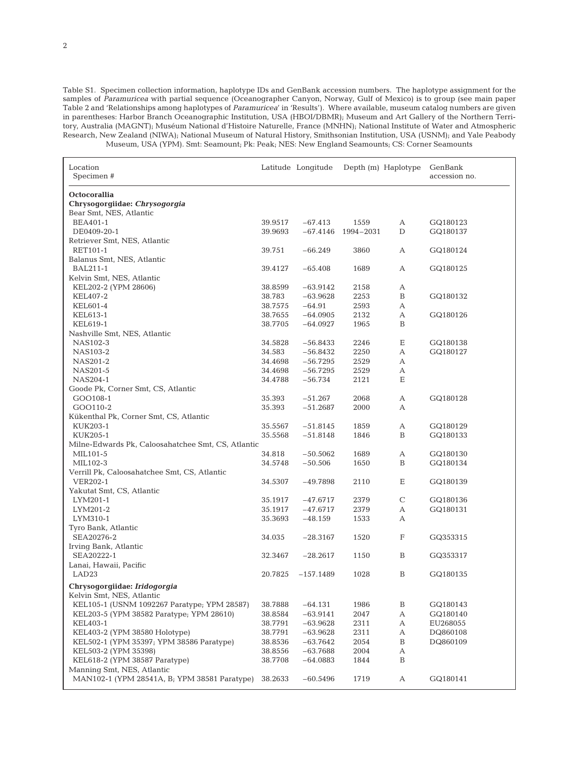Table S1. Specimen collection information, haplotype IDs and GenBank accession numbers. The haplotype assignment for the samples of *Paramuricea* with partial sequence (Oceanographer Canyon, Norway, Gulf of Mexico) is to group (see main paper Table 2 and 'Relationships among haplotypes of *Paramuricea*' in 'Results'). Where available, museum catalog numbers are given in parentheses: Harbor Branch Oceanographic Institution, USA (HBOI/DBMR); Museum and Art Gallery of the Northern Territory, Australia (MAGNT); Muséum National d'Histoire Naturelle, France (MNHN); National Institute of Water and Atmospheric Research, New Zealand (NIWA); National Museum of Natural History, Smithsonian Institution, USA (USNM); and Yale Peabody Museum, USA (YPM). Smt: Seamount; Pk: Peak; NES: New England Seamounts; CS: Corner Seamounts

| Octocorallia<br>Chrysogorgiidae: Chrysogorgia<br>Bear Smt, NES, Atlantic<br>1559<br>BEA401-1<br>39.9517<br>$-67.413$<br>А<br>GQ180123<br>DE0409-20-1<br>39.9693<br>$-67.4146$<br>1994-2031<br>D<br>GQ180137<br>Retriever Smt, NES, Atlantic<br>RET101-1<br>39.751<br>$-66.249$<br>3860<br>А<br>GQ180124<br>Balanus Smt, NES, Atlantic<br>1689<br><b>BAL211-1</b><br>39.4127<br>$-65.408$<br>А<br>GQ180125<br>Kelvin Smt, NES, Atlantic<br>KEL202-2 (YPM 28606)<br>38.8599<br>$-63.9142$<br>2158<br>А<br>KEL407-2<br>38.783<br>$-63.9628$<br>2253<br>B<br>GQ180132<br>KEL601-4<br>38.7575<br>$-64.91$<br>2593<br>А<br>KEL613-1<br>38.7655<br>2132<br>$-64.0905$<br>А<br>GQ180126<br>1965<br>B<br>KEL619-1<br>38.7705<br>$-64.0927$<br>Nashville Smt, NES, Atlantic<br>Ε<br>NAS102-3<br>34.5828<br>$-56.8433$<br>2246<br>GQ180138<br>34.583<br>$-56.8432$<br>2250<br>GQ180127<br>NAS103-2<br>А<br>2529<br>NAS201-2<br>34.4698<br>$-56.7295$<br>А<br>NAS201-5<br>$-56.7295$<br>2529<br>34.4698<br>А<br>$-56.734$<br>2121<br>Ε<br>NAS204-1<br>34.4788<br>Goode Pk, Corner Smt, CS, Atlantic<br>GOO108-1<br>35.393<br>$-51.267$<br>2068<br>А<br>GQ180128<br>GOO110-2<br>35.393<br>$-51.2687$<br>2000<br>А<br>Kükenthal Pk, Corner Smt, CS, Atlantic<br>35.5567<br>1859<br>KUK203-1<br>$-51.8145$<br>А<br>GQ180129<br>KUK205-1<br>35.5568<br>B<br>$-51.8148$<br>1846<br>GQ180133<br>Milne-Edwards Pk, Caloosahatchee Smt, CS, Atlantic<br>MIL101-5<br>34.818<br>$-50.5062$<br>1689<br>GQ180130<br>А<br>$-50.506$<br>B<br>MIL102-3<br>34.5748<br>1650<br>GQ180134<br>Verrill Pk, Caloosahatchee Smt, CS, Atlantic<br>Ε<br><b>VER202-1</b><br>34.5307<br>$-49.7898$<br>2110<br>GQ180139<br>Yakutat Smt, CS, Atlantic<br>$\mathsf C$<br>35.1917<br>2379<br>GQ180136<br>LYM201-1<br>$-47.6717$<br>2379<br>LYM201-2<br>35.1917<br>$-47.6717$<br>GQ180131<br>А<br>LYM310-1<br>1533<br>35.3693<br>$-48.159$<br>А<br>Tyro Bank, Atlantic<br>SEA20276-2<br>1520<br>F<br>GQ353315<br>34.035<br>$-28.3167$<br>Irving Bank, Atlantic<br>SEA20222-1<br>1150<br>$\, {\bf B}$<br>32.3467<br>$-28.2617$<br>GQ353317<br>Lanai, Hawaii, Pacific<br>B<br>LAD <sub>23</sub><br>20.7825<br>$-157.1489$<br>1028<br>GQ180135<br>Chrysogorgiidae: Iridogorgia<br>Kelvin Smt, NES, Atlantic<br>KEL105-1 (USNM 1092267 Paratype; YPM 28587)<br>38.7888<br>$-64.131$<br>1986<br>B<br>GQ180143<br>2047<br>KEL203-5 (YPM 38582 Paratype; YPM 28610)<br>38.8584<br>$-63.9141$<br>А<br>GQ180140<br>2311<br>KEL403-1<br>38.7791<br>$-63.9628$<br>А<br>EU268055<br>KEL403-2 (YPM 38580 Holotype)<br>2311<br>38.7791<br>$-63.9628$<br>А<br>DQ860108<br>KEL502-1 (YPM 35397; YPM 38586 Paratype)<br>2054<br>38.8536<br>$-63.7642$<br>B<br>DQ860109<br>$-63.7688$<br>2004<br>KEL503-2 (YPM 35398)<br>38.8556<br>А<br>KEL618-2 (YPM 38587 Paratype)<br>38.7708<br>$-64.0883$<br>1844<br>B<br>Manning Smt, NES, Atlantic<br>MAN102-1 (YPM 28541A, B; YPM 38581 Paratype)<br>38.2633<br>$-60.5496$<br>1719<br>А<br>GQ180141 | Location<br>Specimen # | Latitude Longitude | Depth (m) Haplotype | GenBank<br>accession no. |
|--------------------------------------------------------------------------------------------------------------------------------------------------------------------------------------------------------------------------------------------------------------------------------------------------------------------------------------------------------------------------------------------------------------------------------------------------------------------------------------------------------------------------------------------------------------------------------------------------------------------------------------------------------------------------------------------------------------------------------------------------------------------------------------------------------------------------------------------------------------------------------------------------------------------------------------------------------------------------------------------------------------------------------------------------------------------------------------------------------------------------------------------------------------------------------------------------------------------------------------------------------------------------------------------------------------------------------------------------------------------------------------------------------------------------------------------------------------------------------------------------------------------------------------------------------------------------------------------------------------------------------------------------------------------------------------------------------------------------------------------------------------------------------------------------------------------------------------------------------------------------------------------------------------------------------------------------------------------------------------------------------------------------------------------------------------------------------------------------------------------------------------------------------------------------------------------------------------------------------------------------------------------------------------------------------------------------------------------------------------------------------------------------------------------------------------------------------------------------------------------------------------------------------------------------------------------------------------------------------------------------------------------------------------------------------------------------------------------------------------------------------------------------------------------------------------------------------------------------------------------------------------------------------------------------------------------------------------------------------|------------------------|--------------------|---------------------|--------------------------|
|                                                                                                                                                                                                                                                                                                                                                                                                                                                                                                                                                                                                                                                                                                                                                                                                                                                                                                                                                                                                                                                                                                                                                                                                                                                                                                                                                                                                                                                                                                                                                                                                                                                                                                                                                                                                                                                                                                                                                                                                                                                                                                                                                                                                                                                                                                                                                                                                                                                                                                                                                                                                                                                                                                                                                                                                                                                                                                                                                                                |                        |                    |                     |                          |
|                                                                                                                                                                                                                                                                                                                                                                                                                                                                                                                                                                                                                                                                                                                                                                                                                                                                                                                                                                                                                                                                                                                                                                                                                                                                                                                                                                                                                                                                                                                                                                                                                                                                                                                                                                                                                                                                                                                                                                                                                                                                                                                                                                                                                                                                                                                                                                                                                                                                                                                                                                                                                                                                                                                                                                                                                                                                                                                                                                                |                        |                    |                     |                          |
|                                                                                                                                                                                                                                                                                                                                                                                                                                                                                                                                                                                                                                                                                                                                                                                                                                                                                                                                                                                                                                                                                                                                                                                                                                                                                                                                                                                                                                                                                                                                                                                                                                                                                                                                                                                                                                                                                                                                                                                                                                                                                                                                                                                                                                                                                                                                                                                                                                                                                                                                                                                                                                                                                                                                                                                                                                                                                                                                                                                |                        |                    |                     |                          |
|                                                                                                                                                                                                                                                                                                                                                                                                                                                                                                                                                                                                                                                                                                                                                                                                                                                                                                                                                                                                                                                                                                                                                                                                                                                                                                                                                                                                                                                                                                                                                                                                                                                                                                                                                                                                                                                                                                                                                                                                                                                                                                                                                                                                                                                                                                                                                                                                                                                                                                                                                                                                                                                                                                                                                                                                                                                                                                                                                                                |                        |                    |                     |                          |
|                                                                                                                                                                                                                                                                                                                                                                                                                                                                                                                                                                                                                                                                                                                                                                                                                                                                                                                                                                                                                                                                                                                                                                                                                                                                                                                                                                                                                                                                                                                                                                                                                                                                                                                                                                                                                                                                                                                                                                                                                                                                                                                                                                                                                                                                                                                                                                                                                                                                                                                                                                                                                                                                                                                                                                                                                                                                                                                                                                                |                        |                    |                     |                          |
|                                                                                                                                                                                                                                                                                                                                                                                                                                                                                                                                                                                                                                                                                                                                                                                                                                                                                                                                                                                                                                                                                                                                                                                                                                                                                                                                                                                                                                                                                                                                                                                                                                                                                                                                                                                                                                                                                                                                                                                                                                                                                                                                                                                                                                                                                                                                                                                                                                                                                                                                                                                                                                                                                                                                                                                                                                                                                                                                                                                |                        |                    |                     |                          |
|                                                                                                                                                                                                                                                                                                                                                                                                                                                                                                                                                                                                                                                                                                                                                                                                                                                                                                                                                                                                                                                                                                                                                                                                                                                                                                                                                                                                                                                                                                                                                                                                                                                                                                                                                                                                                                                                                                                                                                                                                                                                                                                                                                                                                                                                                                                                                                                                                                                                                                                                                                                                                                                                                                                                                                                                                                                                                                                                                                                |                        |                    |                     |                          |
|                                                                                                                                                                                                                                                                                                                                                                                                                                                                                                                                                                                                                                                                                                                                                                                                                                                                                                                                                                                                                                                                                                                                                                                                                                                                                                                                                                                                                                                                                                                                                                                                                                                                                                                                                                                                                                                                                                                                                                                                                                                                                                                                                                                                                                                                                                                                                                                                                                                                                                                                                                                                                                                                                                                                                                                                                                                                                                                                                                                |                        |                    |                     |                          |
|                                                                                                                                                                                                                                                                                                                                                                                                                                                                                                                                                                                                                                                                                                                                                                                                                                                                                                                                                                                                                                                                                                                                                                                                                                                                                                                                                                                                                                                                                                                                                                                                                                                                                                                                                                                                                                                                                                                                                                                                                                                                                                                                                                                                                                                                                                                                                                                                                                                                                                                                                                                                                                                                                                                                                                                                                                                                                                                                                                                |                        |                    |                     |                          |
|                                                                                                                                                                                                                                                                                                                                                                                                                                                                                                                                                                                                                                                                                                                                                                                                                                                                                                                                                                                                                                                                                                                                                                                                                                                                                                                                                                                                                                                                                                                                                                                                                                                                                                                                                                                                                                                                                                                                                                                                                                                                                                                                                                                                                                                                                                                                                                                                                                                                                                                                                                                                                                                                                                                                                                                                                                                                                                                                                                                |                        |                    |                     |                          |
|                                                                                                                                                                                                                                                                                                                                                                                                                                                                                                                                                                                                                                                                                                                                                                                                                                                                                                                                                                                                                                                                                                                                                                                                                                                                                                                                                                                                                                                                                                                                                                                                                                                                                                                                                                                                                                                                                                                                                                                                                                                                                                                                                                                                                                                                                                                                                                                                                                                                                                                                                                                                                                                                                                                                                                                                                                                                                                                                                                                |                        |                    |                     |                          |
|                                                                                                                                                                                                                                                                                                                                                                                                                                                                                                                                                                                                                                                                                                                                                                                                                                                                                                                                                                                                                                                                                                                                                                                                                                                                                                                                                                                                                                                                                                                                                                                                                                                                                                                                                                                                                                                                                                                                                                                                                                                                                                                                                                                                                                                                                                                                                                                                                                                                                                                                                                                                                                                                                                                                                                                                                                                                                                                                                                                |                        |                    |                     |                          |
|                                                                                                                                                                                                                                                                                                                                                                                                                                                                                                                                                                                                                                                                                                                                                                                                                                                                                                                                                                                                                                                                                                                                                                                                                                                                                                                                                                                                                                                                                                                                                                                                                                                                                                                                                                                                                                                                                                                                                                                                                                                                                                                                                                                                                                                                                                                                                                                                                                                                                                                                                                                                                                                                                                                                                                                                                                                                                                                                                                                |                        |                    |                     |                          |
|                                                                                                                                                                                                                                                                                                                                                                                                                                                                                                                                                                                                                                                                                                                                                                                                                                                                                                                                                                                                                                                                                                                                                                                                                                                                                                                                                                                                                                                                                                                                                                                                                                                                                                                                                                                                                                                                                                                                                                                                                                                                                                                                                                                                                                                                                                                                                                                                                                                                                                                                                                                                                                                                                                                                                                                                                                                                                                                                                                                |                        |                    |                     |                          |
|                                                                                                                                                                                                                                                                                                                                                                                                                                                                                                                                                                                                                                                                                                                                                                                                                                                                                                                                                                                                                                                                                                                                                                                                                                                                                                                                                                                                                                                                                                                                                                                                                                                                                                                                                                                                                                                                                                                                                                                                                                                                                                                                                                                                                                                                                                                                                                                                                                                                                                                                                                                                                                                                                                                                                                                                                                                                                                                                                                                |                        |                    |                     |                          |
|                                                                                                                                                                                                                                                                                                                                                                                                                                                                                                                                                                                                                                                                                                                                                                                                                                                                                                                                                                                                                                                                                                                                                                                                                                                                                                                                                                                                                                                                                                                                                                                                                                                                                                                                                                                                                                                                                                                                                                                                                                                                                                                                                                                                                                                                                                                                                                                                                                                                                                                                                                                                                                                                                                                                                                                                                                                                                                                                                                                |                        |                    |                     |                          |
|                                                                                                                                                                                                                                                                                                                                                                                                                                                                                                                                                                                                                                                                                                                                                                                                                                                                                                                                                                                                                                                                                                                                                                                                                                                                                                                                                                                                                                                                                                                                                                                                                                                                                                                                                                                                                                                                                                                                                                                                                                                                                                                                                                                                                                                                                                                                                                                                                                                                                                                                                                                                                                                                                                                                                                                                                                                                                                                                                                                |                        |                    |                     |                          |
|                                                                                                                                                                                                                                                                                                                                                                                                                                                                                                                                                                                                                                                                                                                                                                                                                                                                                                                                                                                                                                                                                                                                                                                                                                                                                                                                                                                                                                                                                                                                                                                                                                                                                                                                                                                                                                                                                                                                                                                                                                                                                                                                                                                                                                                                                                                                                                                                                                                                                                                                                                                                                                                                                                                                                                                                                                                                                                                                                                                |                        |                    |                     |                          |
|                                                                                                                                                                                                                                                                                                                                                                                                                                                                                                                                                                                                                                                                                                                                                                                                                                                                                                                                                                                                                                                                                                                                                                                                                                                                                                                                                                                                                                                                                                                                                                                                                                                                                                                                                                                                                                                                                                                                                                                                                                                                                                                                                                                                                                                                                                                                                                                                                                                                                                                                                                                                                                                                                                                                                                                                                                                                                                                                                                                |                        |                    |                     |                          |
|                                                                                                                                                                                                                                                                                                                                                                                                                                                                                                                                                                                                                                                                                                                                                                                                                                                                                                                                                                                                                                                                                                                                                                                                                                                                                                                                                                                                                                                                                                                                                                                                                                                                                                                                                                                                                                                                                                                                                                                                                                                                                                                                                                                                                                                                                                                                                                                                                                                                                                                                                                                                                                                                                                                                                                                                                                                                                                                                                                                |                        |                    |                     |                          |
|                                                                                                                                                                                                                                                                                                                                                                                                                                                                                                                                                                                                                                                                                                                                                                                                                                                                                                                                                                                                                                                                                                                                                                                                                                                                                                                                                                                                                                                                                                                                                                                                                                                                                                                                                                                                                                                                                                                                                                                                                                                                                                                                                                                                                                                                                                                                                                                                                                                                                                                                                                                                                                                                                                                                                                                                                                                                                                                                                                                |                        |                    |                     |                          |
|                                                                                                                                                                                                                                                                                                                                                                                                                                                                                                                                                                                                                                                                                                                                                                                                                                                                                                                                                                                                                                                                                                                                                                                                                                                                                                                                                                                                                                                                                                                                                                                                                                                                                                                                                                                                                                                                                                                                                                                                                                                                                                                                                                                                                                                                                                                                                                                                                                                                                                                                                                                                                                                                                                                                                                                                                                                                                                                                                                                |                        |                    |                     |                          |
|                                                                                                                                                                                                                                                                                                                                                                                                                                                                                                                                                                                                                                                                                                                                                                                                                                                                                                                                                                                                                                                                                                                                                                                                                                                                                                                                                                                                                                                                                                                                                                                                                                                                                                                                                                                                                                                                                                                                                                                                                                                                                                                                                                                                                                                                                                                                                                                                                                                                                                                                                                                                                                                                                                                                                                                                                                                                                                                                                                                |                        |                    |                     |                          |
|                                                                                                                                                                                                                                                                                                                                                                                                                                                                                                                                                                                                                                                                                                                                                                                                                                                                                                                                                                                                                                                                                                                                                                                                                                                                                                                                                                                                                                                                                                                                                                                                                                                                                                                                                                                                                                                                                                                                                                                                                                                                                                                                                                                                                                                                                                                                                                                                                                                                                                                                                                                                                                                                                                                                                                                                                                                                                                                                                                                |                        |                    |                     |                          |
|                                                                                                                                                                                                                                                                                                                                                                                                                                                                                                                                                                                                                                                                                                                                                                                                                                                                                                                                                                                                                                                                                                                                                                                                                                                                                                                                                                                                                                                                                                                                                                                                                                                                                                                                                                                                                                                                                                                                                                                                                                                                                                                                                                                                                                                                                                                                                                                                                                                                                                                                                                                                                                                                                                                                                                                                                                                                                                                                                                                |                        |                    |                     |                          |
|                                                                                                                                                                                                                                                                                                                                                                                                                                                                                                                                                                                                                                                                                                                                                                                                                                                                                                                                                                                                                                                                                                                                                                                                                                                                                                                                                                                                                                                                                                                                                                                                                                                                                                                                                                                                                                                                                                                                                                                                                                                                                                                                                                                                                                                                                                                                                                                                                                                                                                                                                                                                                                                                                                                                                                                                                                                                                                                                                                                |                        |                    |                     |                          |
|                                                                                                                                                                                                                                                                                                                                                                                                                                                                                                                                                                                                                                                                                                                                                                                                                                                                                                                                                                                                                                                                                                                                                                                                                                                                                                                                                                                                                                                                                                                                                                                                                                                                                                                                                                                                                                                                                                                                                                                                                                                                                                                                                                                                                                                                                                                                                                                                                                                                                                                                                                                                                                                                                                                                                                                                                                                                                                                                                                                |                        |                    |                     |                          |
|                                                                                                                                                                                                                                                                                                                                                                                                                                                                                                                                                                                                                                                                                                                                                                                                                                                                                                                                                                                                                                                                                                                                                                                                                                                                                                                                                                                                                                                                                                                                                                                                                                                                                                                                                                                                                                                                                                                                                                                                                                                                                                                                                                                                                                                                                                                                                                                                                                                                                                                                                                                                                                                                                                                                                                                                                                                                                                                                                                                |                        |                    |                     |                          |
|                                                                                                                                                                                                                                                                                                                                                                                                                                                                                                                                                                                                                                                                                                                                                                                                                                                                                                                                                                                                                                                                                                                                                                                                                                                                                                                                                                                                                                                                                                                                                                                                                                                                                                                                                                                                                                                                                                                                                                                                                                                                                                                                                                                                                                                                                                                                                                                                                                                                                                                                                                                                                                                                                                                                                                                                                                                                                                                                                                                |                        |                    |                     |                          |
|                                                                                                                                                                                                                                                                                                                                                                                                                                                                                                                                                                                                                                                                                                                                                                                                                                                                                                                                                                                                                                                                                                                                                                                                                                                                                                                                                                                                                                                                                                                                                                                                                                                                                                                                                                                                                                                                                                                                                                                                                                                                                                                                                                                                                                                                                                                                                                                                                                                                                                                                                                                                                                                                                                                                                                                                                                                                                                                                                                                |                        |                    |                     |                          |
|                                                                                                                                                                                                                                                                                                                                                                                                                                                                                                                                                                                                                                                                                                                                                                                                                                                                                                                                                                                                                                                                                                                                                                                                                                                                                                                                                                                                                                                                                                                                                                                                                                                                                                                                                                                                                                                                                                                                                                                                                                                                                                                                                                                                                                                                                                                                                                                                                                                                                                                                                                                                                                                                                                                                                                                                                                                                                                                                                                                |                        |                    |                     |                          |
|                                                                                                                                                                                                                                                                                                                                                                                                                                                                                                                                                                                                                                                                                                                                                                                                                                                                                                                                                                                                                                                                                                                                                                                                                                                                                                                                                                                                                                                                                                                                                                                                                                                                                                                                                                                                                                                                                                                                                                                                                                                                                                                                                                                                                                                                                                                                                                                                                                                                                                                                                                                                                                                                                                                                                                                                                                                                                                                                                                                |                        |                    |                     |                          |
|                                                                                                                                                                                                                                                                                                                                                                                                                                                                                                                                                                                                                                                                                                                                                                                                                                                                                                                                                                                                                                                                                                                                                                                                                                                                                                                                                                                                                                                                                                                                                                                                                                                                                                                                                                                                                                                                                                                                                                                                                                                                                                                                                                                                                                                                                                                                                                                                                                                                                                                                                                                                                                                                                                                                                                                                                                                                                                                                                                                |                        |                    |                     |                          |
|                                                                                                                                                                                                                                                                                                                                                                                                                                                                                                                                                                                                                                                                                                                                                                                                                                                                                                                                                                                                                                                                                                                                                                                                                                                                                                                                                                                                                                                                                                                                                                                                                                                                                                                                                                                                                                                                                                                                                                                                                                                                                                                                                                                                                                                                                                                                                                                                                                                                                                                                                                                                                                                                                                                                                                                                                                                                                                                                                                                |                        |                    |                     |                          |
|                                                                                                                                                                                                                                                                                                                                                                                                                                                                                                                                                                                                                                                                                                                                                                                                                                                                                                                                                                                                                                                                                                                                                                                                                                                                                                                                                                                                                                                                                                                                                                                                                                                                                                                                                                                                                                                                                                                                                                                                                                                                                                                                                                                                                                                                                                                                                                                                                                                                                                                                                                                                                                                                                                                                                                                                                                                                                                                                                                                |                        |                    |                     |                          |
|                                                                                                                                                                                                                                                                                                                                                                                                                                                                                                                                                                                                                                                                                                                                                                                                                                                                                                                                                                                                                                                                                                                                                                                                                                                                                                                                                                                                                                                                                                                                                                                                                                                                                                                                                                                                                                                                                                                                                                                                                                                                                                                                                                                                                                                                                                                                                                                                                                                                                                                                                                                                                                                                                                                                                                                                                                                                                                                                                                                |                        |                    |                     |                          |
|                                                                                                                                                                                                                                                                                                                                                                                                                                                                                                                                                                                                                                                                                                                                                                                                                                                                                                                                                                                                                                                                                                                                                                                                                                                                                                                                                                                                                                                                                                                                                                                                                                                                                                                                                                                                                                                                                                                                                                                                                                                                                                                                                                                                                                                                                                                                                                                                                                                                                                                                                                                                                                                                                                                                                                                                                                                                                                                                                                                |                        |                    |                     |                          |
|                                                                                                                                                                                                                                                                                                                                                                                                                                                                                                                                                                                                                                                                                                                                                                                                                                                                                                                                                                                                                                                                                                                                                                                                                                                                                                                                                                                                                                                                                                                                                                                                                                                                                                                                                                                                                                                                                                                                                                                                                                                                                                                                                                                                                                                                                                                                                                                                                                                                                                                                                                                                                                                                                                                                                                                                                                                                                                                                                                                |                        |                    |                     |                          |
|                                                                                                                                                                                                                                                                                                                                                                                                                                                                                                                                                                                                                                                                                                                                                                                                                                                                                                                                                                                                                                                                                                                                                                                                                                                                                                                                                                                                                                                                                                                                                                                                                                                                                                                                                                                                                                                                                                                                                                                                                                                                                                                                                                                                                                                                                                                                                                                                                                                                                                                                                                                                                                                                                                                                                                                                                                                                                                                                                                                |                        |                    |                     |                          |
|                                                                                                                                                                                                                                                                                                                                                                                                                                                                                                                                                                                                                                                                                                                                                                                                                                                                                                                                                                                                                                                                                                                                                                                                                                                                                                                                                                                                                                                                                                                                                                                                                                                                                                                                                                                                                                                                                                                                                                                                                                                                                                                                                                                                                                                                                                                                                                                                                                                                                                                                                                                                                                                                                                                                                                                                                                                                                                                                                                                |                        |                    |                     |                          |
|                                                                                                                                                                                                                                                                                                                                                                                                                                                                                                                                                                                                                                                                                                                                                                                                                                                                                                                                                                                                                                                                                                                                                                                                                                                                                                                                                                                                                                                                                                                                                                                                                                                                                                                                                                                                                                                                                                                                                                                                                                                                                                                                                                                                                                                                                                                                                                                                                                                                                                                                                                                                                                                                                                                                                                                                                                                                                                                                                                                |                        |                    |                     |                          |
|                                                                                                                                                                                                                                                                                                                                                                                                                                                                                                                                                                                                                                                                                                                                                                                                                                                                                                                                                                                                                                                                                                                                                                                                                                                                                                                                                                                                                                                                                                                                                                                                                                                                                                                                                                                                                                                                                                                                                                                                                                                                                                                                                                                                                                                                                                                                                                                                                                                                                                                                                                                                                                                                                                                                                                                                                                                                                                                                                                                |                        |                    |                     |                          |
|                                                                                                                                                                                                                                                                                                                                                                                                                                                                                                                                                                                                                                                                                                                                                                                                                                                                                                                                                                                                                                                                                                                                                                                                                                                                                                                                                                                                                                                                                                                                                                                                                                                                                                                                                                                                                                                                                                                                                                                                                                                                                                                                                                                                                                                                                                                                                                                                                                                                                                                                                                                                                                                                                                                                                                                                                                                                                                                                                                                |                        |                    |                     |                          |
|                                                                                                                                                                                                                                                                                                                                                                                                                                                                                                                                                                                                                                                                                                                                                                                                                                                                                                                                                                                                                                                                                                                                                                                                                                                                                                                                                                                                                                                                                                                                                                                                                                                                                                                                                                                                                                                                                                                                                                                                                                                                                                                                                                                                                                                                                                                                                                                                                                                                                                                                                                                                                                                                                                                                                                                                                                                                                                                                                                                |                        |                    |                     |                          |
|                                                                                                                                                                                                                                                                                                                                                                                                                                                                                                                                                                                                                                                                                                                                                                                                                                                                                                                                                                                                                                                                                                                                                                                                                                                                                                                                                                                                                                                                                                                                                                                                                                                                                                                                                                                                                                                                                                                                                                                                                                                                                                                                                                                                                                                                                                                                                                                                                                                                                                                                                                                                                                                                                                                                                                                                                                                                                                                                                                                |                        |                    |                     |                          |
|                                                                                                                                                                                                                                                                                                                                                                                                                                                                                                                                                                                                                                                                                                                                                                                                                                                                                                                                                                                                                                                                                                                                                                                                                                                                                                                                                                                                                                                                                                                                                                                                                                                                                                                                                                                                                                                                                                                                                                                                                                                                                                                                                                                                                                                                                                                                                                                                                                                                                                                                                                                                                                                                                                                                                                                                                                                                                                                                                                                |                        |                    |                     |                          |
|                                                                                                                                                                                                                                                                                                                                                                                                                                                                                                                                                                                                                                                                                                                                                                                                                                                                                                                                                                                                                                                                                                                                                                                                                                                                                                                                                                                                                                                                                                                                                                                                                                                                                                                                                                                                                                                                                                                                                                                                                                                                                                                                                                                                                                                                                                                                                                                                                                                                                                                                                                                                                                                                                                                                                                                                                                                                                                                                                                                |                        |                    |                     |                          |
|                                                                                                                                                                                                                                                                                                                                                                                                                                                                                                                                                                                                                                                                                                                                                                                                                                                                                                                                                                                                                                                                                                                                                                                                                                                                                                                                                                                                                                                                                                                                                                                                                                                                                                                                                                                                                                                                                                                                                                                                                                                                                                                                                                                                                                                                                                                                                                                                                                                                                                                                                                                                                                                                                                                                                                                                                                                                                                                                                                                |                        |                    |                     |                          |
|                                                                                                                                                                                                                                                                                                                                                                                                                                                                                                                                                                                                                                                                                                                                                                                                                                                                                                                                                                                                                                                                                                                                                                                                                                                                                                                                                                                                                                                                                                                                                                                                                                                                                                                                                                                                                                                                                                                                                                                                                                                                                                                                                                                                                                                                                                                                                                                                                                                                                                                                                                                                                                                                                                                                                                                                                                                                                                                                                                                |                        |                    |                     |                          |
|                                                                                                                                                                                                                                                                                                                                                                                                                                                                                                                                                                                                                                                                                                                                                                                                                                                                                                                                                                                                                                                                                                                                                                                                                                                                                                                                                                                                                                                                                                                                                                                                                                                                                                                                                                                                                                                                                                                                                                                                                                                                                                                                                                                                                                                                                                                                                                                                                                                                                                                                                                                                                                                                                                                                                                                                                                                                                                                                                                                |                        |                    |                     |                          |
|                                                                                                                                                                                                                                                                                                                                                                                                                                                                                                                                                                                                                                                                                                                                                                                                                                                                                                                                                                                                                                                                                                                                                                                                                                                                                                                                                                                                                                                                                                                                                                                                                                                                                                                                                                                                                                                                                                                                                                                                                                                                                                                                                                                                                                                                                                                                                                                                                                                                                                                                                                                                                                                                                                                                                                                                                                                                                                                                                                                |                        |                    |                     |                          |
|                                                                                                                                                                                                                                                                                                                                                                                                                                                                                                                                                                                                                                                                                                                                                                                                                                                                                                                                                                                                                                                                                                                                                                                                                                                                                                                                                                                                                                                                                                                                                                                                                                                                                                                                                                                                                                                                                                                                                                                                                                                                                                                                                                                                                                                                                                                                                                                                                                                                                                                                                                                                                                                                                                                                                                                                                                                                                                                                                                                |                        |                    |                     |                          |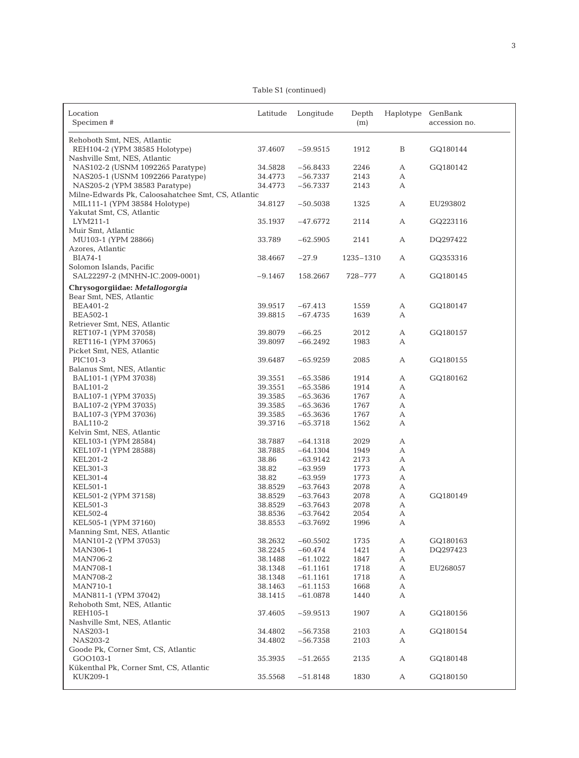Table S1 (continued)

| Location<br>Specimen#                                            | Latitude           | Longitude  | Depth<br>(m) | Haplotype | GenBank<br>accession no. |
|------------------------------------------------------------------|--------------------|------------|--------------|-----------|--------------------------|
|                                                                  |                    |            |              |           |                          |
| Rehoboth Smt, NES, Atlantic<br>REH104-2 (YPM 38585 Holotype)     | 37.4607            | $-59.9515$ | 1912         | B         | GQ180144                 |
| Nashville Smt, NES, Atlantic<br>NAS102-2 (USNM 1092265 Paratype) | 34.5828            | $-56.8433$ | 2246         | А         | GQ180142                 |
| NAS205-1 (USNM 1092266 Paratype)                                 | 34.4773            | $-56.7337$ | 2143         | А         |                          |
| NAS205-2 (YPM 38583 Paratype)                                    | 34.4773            | $-56.7337$ | 2143         | А         |                          |
| Milne-Edwards Pk, Caloosahatchee Smt, CS, Atlantic               |                    |            |              |           |                          |
| MIL111-1 (YPM 38584 Holotype)                                    | 34.8127            | $-50.5038$ | 1325         | А         | EU293802                 |
| Yakutat Smt, CS, Atlantic                                        |                    |            |              |           |                          |
| LYM211-1                                                         | 35.1937            | $-47.6772$ | 2114         | А         | GQ223116                 |
| Muir Smt, Atlantic                                               |                    |            |              |           |                          |
| MU103-1 (YPM 28866)                                              | 33.789             | $-62.5905$ | 2141         | А         | DQ297422                 |
| Azores, Atlantic                                                 |                    |            |              |           |                          |
| BIA74-1                                                          | 38.4667            | $-27.9$    | 1235-1310    | А         | GQ353316                 |
| Solomon Islands, Pacific                                         |                    |            |              |           |                          |
| SAL22297-2 (MNHN-IC.2009-0001)                                   | $-9.1467$          | 158.2667   | 728-777      | А         | GQ180145                 |
| Chrysogorgiidae: Metallogorgia                                   |                    |            |              |           |                          |
| Bear Smt, NES, Atlantic                                          |                    |            |              |           |                          |
| BEA401-2                                                         | 39.9517            | $-67.413$  | 1559         | А         | GQ180147                 |
| <b>BEA502-1</b>                                                  | 39.8815            | $-67.4735$ | 1639         | А         |                          |
| Retriever Smt, NES, Atlantic                                     |                    |            |              |           |                          |
| RET107-1 (YPM 37058)                                             | 39.8079            | $-66.25$   | 2012         | А         | GQ180157                 |
| RET116-1 (YPM 37065)                                             | 39.8097            | $-66.2492$ | 1983         | А         |                          |
| Picket Smt, NES, Atlantic                                        |                    |            |              |           |                          |
| PIC101-3                                                         | 39.6487            | $-65.9259$ | 2085         | А         | GQ180155                 |
| Balanus Smt, NES, Atlantic                                       |                    |            |              |           |                          |
| BAL101-1 (YPM 37038)                                             | 39.3551            | $-65.3586$ | 1914         | А         | GQ180162                 |
| BAL101-2                                                         | 39.3551            | $-65.3586$ | 1914         | А         |                          |
| BAL107-1 (YPM 37035)                                             | 39.3585            | $-65.3636$ | 1767         | А         |                          |
| BAL107-2 (YPM 37035)                                             | 39.3585            | $-65.3636$ | 1767         | А         |                          |
| BAL107-3 (YPM 37036)                                             | 39.3585            | $-65.3636$ | 1767         | А         |                          |
| <b>BAL110-2</b>                                                  | 39.3716            | $-65.3718$ | 1562         | А         |                          |
| Kelvin Smt, NES, Atlantic<br>KEL103-1 (YPM 28584)                | 38.7887            | $-64.1318$ | 2029         | А         |                          |
| KEL107-1 (YPM 28588)                                             | 38.7885            | $-64.1304$ | 1949         | А         |                          |
| KEL201-2                                                         | 38.86              | $-63.9142$ | 2173         | А         |                          |
| KEL301-3                                                         | 38.82              | $-63.959$  | 1773         | А         |                          |
| KEL301-4                                                         | 38.82              | $-63.959$  | 1773         | А         |                          |
| KEL501-1                                                         | 38.8529            | $-63.7643$ | 2078         | А         |                          |
| KEL501-2 (YPM 37158)                                             | 38.8529            | $-63.7643$ | 2078         | А         | GQ180149                 |
| KEL501-3                                                         | 38.8529            | $-63.7643$ | 2078         | А         |                          |
| KEL502-4                                                         | 38.8536            | $-63.7642$ | 2054         | А         |                          |
| KEL505-1 (YPM 37160)                                             | 38.8553            | $-63.7692$ | 1996         | А         |                          |
| Manning Smt, NES, Atlantic                                       |                    |            |              |           |                          |
| MAN101-2 (YPM 37053)                                             | 38.2632            | $-60.5502$ | 1735         | А         | GQ180163                 |
| MAN306-1                                                         | 38.2245            | $-60.474$  | 1421         | А         | DQ297423                 |
| <b>MAN706-2</b>                                                  | 38.1488            | $-61.1022$ | 1847         | А         |                          |
| <b>MAN708-1</b>                                                  | 38.1348            | $-61.1161$ | 1718         | А         | EU268057                 |
| <b>MAN708-2</b>                                                  | 38.1348            | $-61.1161$ | 1718         | А         |                          |
| MAN710-1                                                         | 38.1463            | $-61.1153$ | 1668         | А         |                          |
| MAN811-1 (YPM 37042)                                             | 38.1415            | $-61.0878$ | 1440         | А         |                          |
| Rehoboth Smt, NES, Atlantic                                      |                    |            |              |           |                          |
| REH105-1                                                         | 37.4605            | $-59.9513$ | 1907         | А         | GQ180156                 |
| Nashville Smt, NES, Atlantic                                     |                    |            |              |           |                          |
| NAS203-1<br><b>NAS203-2</b>                                      | 34.4802<br>34.4802 | $-56.7358$ | 2103         | А         | GQ180154                 |
| Goode Pk, Corner Smt, CS, Atlantic                               |                    | $-56.7358$ | 2103         | А         |                          |
| GOO103-1                                                         | 35.3935            | $-51.2655$ | 2135         | А         | GQ180148                 |
| Kükenthal Pk, Corner Smt, CS, Atlantic                           |                    |            |              |           |                          |
| KUK209-1                                                         | 35.5568            | $-51.8148$ | 1830         | А         | GQ180150                 |
|                                                                  |                    |            |              |           |                          |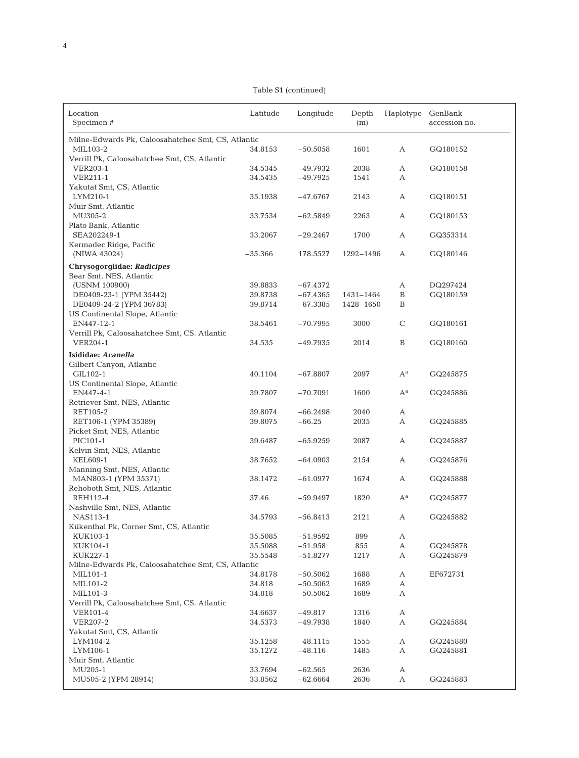Table S1 (continued)

| Location<br>Specimen#                                     | Latitude           | Longitude               | Depth<br>(m) | Haplotype                 | GenBank<br>accession no. |
|-----------------------------------------------------------|--------------------|-------------------------|--------------|---------------------------|--------------------------|
| Milne-Edwards Pk, Caloosahatchee Smt, CS, Atlantic        |                    |                         |              |                           |                          |
| MIL103-2                                                  | 34.8153            | $-50.5058$              | 1601         | А                         | GQ180152                 |
| Verrill Pk, Caloosahatchee Smt, CS, Atlantic              |                    |                         |              |                           |                          |
| <b>VER203-1</b>                                           | 34.5345            | $-49.7932$              | 2038         | А                         | GQ180158                 |
| VER211-1                                                  | 34.5435            | $-49.7925$              | 1541         | А                         |                          |
| Yakutat Smt, CS, Atlantic                                 |                    |                         |              |                           |                          |
| LYM210-1                                                  | 35.1938            | $-47.6767$              | 2143         | А                         | GQ180151                 |
| Muir Smt, Atlantic                                        |                    |                         |              |                           |                          |
| MU305-2                                                   | 33.7534            | $-62.5849$              | 2263         | А                         | GQ180153                 |
| Plato Bank, Atlantic                                      |                    |                         |              |                           |                          |
| SEA202249-1                                               | 33.2067            | $-29.2467$              | 1700         | А                         | GQ353314                 |
| Kermadec Ridge, Pacific                                   |                    |                         |              |                           |                          |
| (NIWA 43024)                                              | $-35.366$          | 178.5527                | 1292-1496    | А                         | GQ180146                 |
| Chrysogorgiidae: Radicipes                                |                    |                         |              |                           |                          |
| Bear Smt, NES, Atlantic                                   |                    |                         |              |                           |                          |
| (USNM 100900)                                             | 39.8833            | $-67.4372$              |              | А                         | DQ297424                 |
| DE0409-23-1 (YPM 35442)                                   | 39.8738            | $-67.4365$              | 1431-1464    | B                         | GQ180159                 |
| DE0409-24-2 (YPM 36783)<br>US Continental Slope, Atlantic | 39.8714            | $-67.3385$              | 1428-1650    | B                         |                          |
| EN447-12-1                                                | 38.5461            | $-70.7995$              | 3000         | $\mathsf C$               | GQ180161                 |
| Verrill Pk, Caloosahatchee Smt, CS, Atlantic              |                    |                         |              |                           |                          |
| <b>VER204-1</b>                                           | 34.535             | $-49.7935$              | 2014         | $\, {\bf B}$              | GQ180160                 |
|                                                           |                    |                         |              |                           |                          |
| Isididae: Acanella<br>Gilbert Canyon, Atlantic            |                    |                         |              |                           |                          |
| GIL102-1                                                  | 40.1104            | $-67.8807$              | 2097         | $A^a$                     | GQ245875                 |
| US Continental Slope, Atlantic                            |                    |                         |              |                           |                          |
| EN447-4-1                                                 | 39.7807            | $-70.7091$              | 1600         | $\mathrm{A}^{\mathrm{a}}$ | GQ245886                 |
| Retriever Smt, NES, Atlantic                              |                    |                         |              |                           |                          |
| RET105-2                                                  | 39.8074            | $-66.2498$              | 2040         | А                         |                          |
| RET106-1 (YPM 35389)                                      | 39.8075            | $-66.25$                | 2035         | А                         | GQ245885                 |
| Picket Smt, NES, Atlantic                                 |                    |                         |              |                           |                          |
| PIC101-1                                                  | 39.6487            | $-65.9259$              | 2087         | А                         | GQ245887                 |
| Kelvin Smt, NES, Atlantic                                 |                    |                         |              |                           |                          |
| <b>KEL609-1</b>                                           | 38.7652            | $-64.0903$              | 2154         | А                         | GQ245876                 |
| Manning Smt, NES, Atlantic                                |                    |                         |              |                           |                          |
| MAN803-1 (YPM 35371)                                      | 38.1472            | $-61.0977$              | 1674         | А                         | GQ245888                 |
| Rehoboth Smt, NES, Atlantic                               |                    |                         |              |                           |                          |
| REH112-4                                                  | 37.46              | $-59.9497$              | 1820         | $A^a$                     | GQ245877                 |
| Nashville Smt, NES, Atlantic                              |                    |                         |              |                           |                          |
| NAS113-1                                                  | 34.5793            | $-56.8413$              | 2121         | А                         | GQ245882                 |
| Kükenthal Pk, Corner Smt, CS, Atlantic                    |                    |                         |              |                           |                          |
| KUK103-1<br>KUK104-1                                      | 35.5085<br>35.5088 | $-51.9592$<br>$-51.958$ | 899          | А                         |                          |
| KUK227-1                                                  | 35.5548            | $-51.8277$              | 855<br>1217  | А<br>А                    | GQ245878<br>GQ245879     |
| Milne-Edwards Pk, Caloosahatchee Smt, CS, Atlantic        |                    |                         |              |                           |                          |
| MIL101-1                                                  | 34.8178            | $-50.5062$              | 1688         | А                         | EF672731                 |
| MIL101-2                                                  | 34.818             | $-50.5062$              | 1689         | А                         |                          |
| MIL101-3                                                  | 34.818             | $-50.5062$              | 1689         | А                         |                          |
| Verrill Pk, Caloosahatchee Smt, CS, Atlantic              |                    |                         |              |                           |                          |
| <b>VER101-4</b>                                           | 34.6637            | $-49.817$               | 1316         | $\boldsymbol{\mathsf{A}}$ |                          |
| VER207-2                                                  | 34.5373            | $-49.7938$              | 1840         | А                         | GQ245884                 |
| Yakutat Smt, CS, Atlantic                                 |                    |                         |              |                           |                          |
| LYM104-2                                                  | 35.1258            | $-48.1115$              | 1555         | А                         | GQ245880                 |
| LYM106-1                                                  | 35.1272            | $-48.116$               | 1485         | А                         | GQ245881                 |
| Muir Smt, Atlantic                                        |                    |                         |              |                           |                          |
| MU205-1                                                   | 33.7694            | $-62.565$               | 2636         | А                         |                          |
| MU505-2 (YPM 28914)                                       | 33.8562            | $-62.6664$              | 2636         | А                         | GQ245883                 |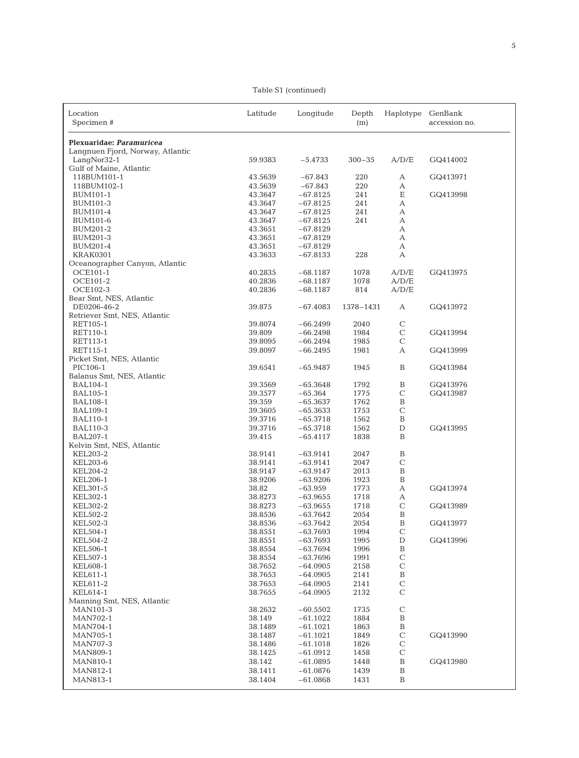Table S1 (continued)

| Location<br>Specimen#                       | Latitude           | Longitude                | Depth<br>(m) | Haplotype                   | GenBank<br>accession no. |
|---------------------------------------------|--------------------|--------------------------|--------------|-----------------------------|--------------------------|
|                                             |                    |                          |              |                             |                          |
| Plexuaridae: Paramuricea                    |                    |                          |              |                             |                          |
| Langnuen Fjord, Norway, Atlantic            |                    |                          |              |                             |                          |
| LangNor32-1<br>Gulf of Maine, Atlantic      | 59.9383            | $-5.4733$                | $300 - 35$   | A/D/E                       | GQ414002                 |
| 118BUM101-1                                 | 43.5639            | $-67.843$                | 220          | А                           | GQ413971                 |
| 118BUM102-1                                 | 43.5639            | $-67.843$                | 220          | А                           |                          |
| BUM101-1                                    | 43.3647            | $-67.8125$               | 241          | Ε                           | GQ413998                 |
| BUM101-3                                    | 43.3647            | $-67.8125$               | 241          | $\boldsymbol{\mathsf{A}}$   |                          |
| <b>BUM101-4</b>                             | 43.3647            | $-67.8125$               | 241          | А                           |                          |
| <b>BUM101-6</b>                             | 43.3647            | $-67.8125$               | 241          | А                           |                          |
| BUM201-2<br><b>BUM201-3</b>                 | 43.3651<br>43.3651 | $-67.8129$<br>$-67.8129$ |              | А<br>А                      |                          |
| BUM201-4                                    | 43.3651            | $-67.8129$               |              | А                           |                          |
| <b>KRAK0301</b>                             | 43.3633            | $-67.8133$               | 228          | А                           |                          |
| Oceanographer Canyon, Atlantic              |                    |                          |              |                             |                          |
| OCE101-1                                    | 40.2835            | $-68.1187$               | 1078         | A/D/E                       | GQ413975                 |
| <b>OCE101-2</b>                             | 40.2836            | $-68.1187$               | 1078         | A/D/E                       |                          |
| <b>OCE102-3</b>                             | 40.2836            | $-68.1187$               | 814          | A/D/E                       |                          |
| Bear Smt, NES, Atlantic                     |                    |                          |              |                             |                          |
| DE0206-46-2<br>Retriever Smt, NES, Atlantic | 39.875             | $-67.4083$               | 1378-1431    | А                           | GQ413972                 |
| RET105-1                                    | 39.8074            | $-66.2499$               | 2040         | $\mathsf{C}$                |                          |
| RET110-1                                    | 39.809             | $-66.2498$               | 1984         | $\mathsf C$                 | GQ413994                 |
| RET113-1                                    | 39.8095            | $-66.2494$               | 1985         | $\mathsf{C}$                |                          |
| RET115-1                                    | 39.8097            | $-66.2495$               | 1981         | А                           | GQ413999                 |
| Picket Smt, NES, Atlantic                   |                    |                          |              |                             |                          |
| PIC106-1                                    | 39.6541            | $-65.9487$               | 1945         | B                           | GQ413984                 |
| Balanus Smt, NES, Atlantic                  |                    |                          |              |                             |                          |
| <b>BAL104-1</b>                             | 39.3569            | $-65.3648$               | 1792         | $\, {\bf B}$                | GQ413976                 |
| <b>BAL105-1</b>                             | 39.3577            | $-65.364$                | 1775         | $\mathbf C$                 | GQ413987                 |
| <b>BAL108-1</b>                             | 39.359             | $-65.3637$               | 1762         | $\, {\bf B}$                |                          |
| <b>BAL109-1</b><br><b>BAL110-1</b>          | 39.3605<br>39.3716 | $-65.3633$<br>$-65.3718$ | 1753<br>1562 | $\mathbf C$<br>$\, {\bf B}$ |                          |
| <b>BAL110-3</b>                             | 39.3716            | $-65.3718$               | 1562         | $\mathbf D$                 | GQ413995                 |
| BAL207-1                                    | 39.415             | $-65.4117$               | 1838         | B                           |                          |
| Kelvin Smt, NES, Atlantic                   |                    |                          |              |                             |                          |
| KEL203-2                                    | 38.9141            | $-63.9141$               | 2047         | $\, {\bf B}$                |                          |
| <b>KEL203-6</b>                             | 38.9141            | $-63.9141$               | 2047         | $\mathbf C$                 |                          |
| <b>KEL204-2</b>                             | 38.9147            | $-63.9147$               | 2013         | $\, {\bf B}$                |                          |
| <b>KEL206-1</b>                             | 38.9206            | $-63.9206$               | 1923         | $\, {\bf B}$                |                          |
| KEL301-5                                    | 38.82              | $-63.959$                | 1773         | $\boldsymbol{\mathsf{A}}$   | GQ413974                 |
| KEL302-1<br>KEL302-2                        | 38.8273<br>38.8273 | $-63.9655$<br>$-63.9655$ | 1718<br>1718 | А<br>$\mathsf{C}$           | GQ413989                 |
| KEL502-2                                    | 38.8536            | $-63.7642$               | 2054         | $\mathbf B$                 |                          |
| KEL502-3                                    | 38.8536            | $-63.7642$               | 2054         | B                           | GQ413977                 |
| KEL504-1                                    | 38.8551            | $-63.7693$               | 1994         | $\mathsf C$                 |                          |
| <b>KEL504-2</b>                             | 38.8551            | $-63.7693$               | 1995         | $\mathbf D$                 | GQ413996                 |
| KEL506-1                                    | 38.8554            | $-63.7694$               | 1996         | $\, {\bf B}$                |                          |
| KEL507-1                                    | 38.8554            | $-63.7696$               | 1991         | $\mathsf C$                 |                          |
| <b>KEL608-1</b>                             | 38.7652            | $-64.0905$               | 2158         | $\mathsf C$                 |                          |
| KEL611-1                                    | 38.7653            | $-64.0905$               | 2141         | $\, {\bf B}$                |                          |
| KEL611-2<br>KEL614-1                        | 38.7653<br>38.7655 | $-64.0905$<br>$-64.0905$ | 2141<br>2132 | $\mathbf C$<br>$\mathbf C$  |                          |
| Manning Smt, NES, Atlantic                  |                    |                          |              |                             |                          |
| <b>MAN101-3</b>                             | 38.2632            | $-60.5502$               | 1735         | $\mathbf C$                 |                          |
| MAN702-1                                    | 38.149             | $-61.1022$               | 1884         | $\, {\bf B}$                |                          |
| MAN704-1                                    | 38.1489            | $-61.1021$               | 1863         | $\, {\bf B}$                |                          |
| MAN705-1                                    | 38.1487            | $-61.1021$               | 1849         | $\mathbf C$                 | GQ413990                 |
| <b>MAN707-3</b>                             | 38.1486            | $-61.1018$               | 1826         | $\mathbf C$                 |                          |
| MAN809-1                                    | 38.1425            | $-61.0912$               | 1458         | $\mathbf C$                 |                          |
| MAN810-1                                    | 38.142             | $-61.0895$               | 1448         | $\, {\bf B}$                | GQ413980                 |
| MAN812-1                                    | 38.1411            | $-61.0876$               | 1439         | $\, {\bf B}$                |                          |
| MAN813-1                                    | 38.1404            | $-61.0868$               | 1431         | $\, {\bf B}$                |                          |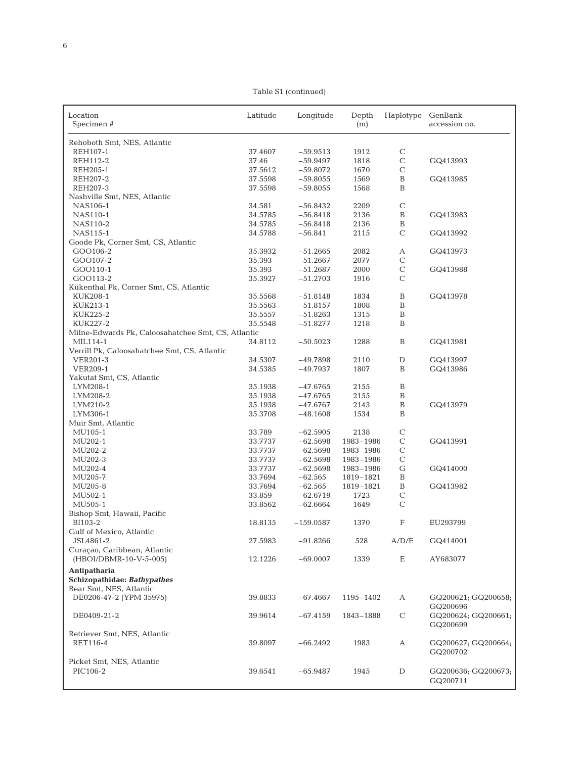Table S1 (continued)

| Location<br>Specimen#                              | Latitude           | Longitude   | Depth<br>(m) | Haplotype    | GenBank<br>accession no.        |
|----------------------------------------------------|--------------------|-------------|--------------|--------------|---------------------------------|
|                                                    |                    |             |              |              |                                 |
| Rehoboth Smt, NES, Atlantic                        |                    |             |              |              |                                 |
| REH107-1                                           | 37.4607            | $-59.9513$  | 1912         | C            |                                 |
| REH112-2                                           | 37.46              | $-59.9497$  | 1818         | $\mathbf C$  | GQ413993                        |
| REH205-1                                           | 37.5612            | $-59.8072$  | 1670         | $\mathsf{C}$ |                                 |
| REH207-2                                           | 37.5598            | $-59.8055$  | 1569         | $\, {\bf B}$ | GQ413985                        |
| REH207-3                                           | 37.5598            | $-59.8055$  | 1568         | B            |                                 |
| Nashville Smt, NES, Atlantic<br>NAS106-1           | 34.581             | $-56.8432$  | 2209         | $\mathsf{C}$ |                                 |
| NAS110-1                                           | 34.5785            | $-56.8418$  | 2136         | $\, {\bf B}$ | GQ413983                        |
| NAS110-2                                           | 34.5785            | $-56.8418$  | 2136         | $\, {\bf B}$ |                                 |
| NAS115-1                                           | 34.5788            | $-56.841$   | 2115         | $\mathbf C$  | GQ413992                        |
| Goode Pk, Corner Smt, CS, Atlantic                 |                    |             |              |              |                                 |
| GOO106-2                                           | 35.3932            | $-51.2665$  | 2082         | А            | GQ413973                        |
| GOO107-2                                           | 35.393             | $-51.2667$  | 2077         | $\mathsf C$  |                                 |
| GOO110-1                                           | 35.393             | $-51.2687$  | 2000         | $\mathbf C$  | GQ413988                        |
| GOO113-2                                           | 35.3927            | $-51.2703$  | 1916         | $\mathsf{C}$ |                                 |
| Kükenthal Pk, Corner Smt, CS, Atlantic             |                    |             |              |              |                                 |
| KUK208-1                                           | 35.5568            | $-51.8148$  | 1834         | $\, {\bf B}$ | GQ413978                        |
| KUK213-1                                           | 35.5563            | $-51.8157$  | 1808         | B            |                                 |
| KUK225-2                                           | 35.5557            | $-51.8263$  | 1315         | $\, {\bf B}$ |                                 |
| KUK227-2                                           | 35.5548            | $-51.8277$  | 1218         | B            |                                 |
| Milne-Edwards Pk, Caloosahatchee Smt, CS, Atlantic |                    |             |              |              |                                 |
| MIL114-1                                           | 34.8112            | $-50.5023$  | 1288         | $\, {\bf B}$ | GQ413981                        |
| Verrill Pk, Caloosahatchee Smt, CS, Atlantic       |                    |             |              |              |                                 |
| VER201-3                                           | 34.5307            | $-49.7898$  | 2110         | $\mathbf D$  | GQ413997                        |
| <b>VER209-1</b>                                    | 34.5385            | -49.7937    | 1807         | B            | GQ413986                        |
| Yakutat Smt, CS, Atlantic                          |                    | $-47.6765$  |              | $\, {\bf B}$ |                                 |
| LYM208-1<br>LYM208-2                               | 35.1938<br>35.1938 | $-47.6765$  | 2155<br>2155 | $\, {\bf B}$ |                                 |
| LYM210-2                                           | 35.1938            | -47.6767    | 2143         | $\, {\bf B}$ | GQ413979                        |
| LYM306-1                                           | 35.3708            | $-48.1608$  | 1534         | B            |                                 |
| Muir Smt, Atlantic                                 |                    |             |              |              |                                 |
| MU105-1                                            | 33.789             | $-62.5905$  | 2138         | $\mathbf C$  |                                 |
| MU202-1                                            | 33.7737            | $-62.5698$  | 1983-1986    | $\mathsf C$  | GQ413991                        |
| MU202-2                                            | 33.7737            | $-62.5698$  | 1983-1986    | $\mathsf{C}$ |                                 |
| MU202-3                                            | 33.7737            | $-62.5698$  | 1983-1986    | $\mathbf C$  |                                 |
| MU202-4                                            | 33.7737            | $-62.5698$  | 1983-1986    | G            | GQ414000                        |
| MU205-7                                            | 33.7694            | $-62.565$   | 1819-1821    | $\, {\bf B}$ |                                 |
| MU205-8                                            | 33.7694            | $-62.565$   | 1819-1821    | $\, {\bf B}$ | GQ413982                        |
| MU502-1                                            | 33.859             | $-62.6719$  | 1723         | $\mathbf C$  |                                 |
| MU505-1                                            | 33.8562            | $-62.6664$  | 1649         | $\mathbf C$  |                                 |
| Bishop Smt, Hawaii, Pacific                        |                    |             |              |              |                                 |
| BI103-2                                            | 18.8135            | $-159.0587$ | 1370         | F            | EU293799                        |
| Gulf of Mexico, Atlantic                           |                    |             |              |              |                                 |
| JSL4861-2<br>Curaçao, Caribbean, Atlantic          | 27.5983            | $-91.8266$  | 528          | A/D/E        | GQ414001                        |
| (HBOI/DBMR-10-V-5-005)                             | 12.1226            | $-69.0007$  | 1339         | Ε            | AY683077                        |
|                                                    |                    |             |              |              |                                 |
| Antipatharia<br>Schizopathidae: Bathypathes        |                    |             |              |              |                                 |
| Bear Smt, NES, Atlantic                            |                    |             |              |              |                                 |
| DE0206-47-2 (YPM 35975)                            | 39.8833            | $-67.4667$  | 1195-1402    | А            | GQ200621; GQ200658;<br>GQ200696 |
| DE0409-21-2                                        | 39.9614            | $-67.4159$  | 1843-1888    | $\mathsf C$  | GQ200624; GQ200661;<br>GQ200699 |
| Retriever Smt, NES, Atlantic<br>RET116-4           | 39.8097            | $-66.2492$  | 1983         | А            | GQ200627; GQ200664;             |
|                                                    |                    |             |              |              | GQ200702                        |
| Picket Smt, NES, Atlantic                          |                    |             |              |              |                                 |
| PIC106-2                                           | 39.6541            | $-65.9487$  | 1945         | D            | GQ200636; GQ200673;<br>GQ200711 |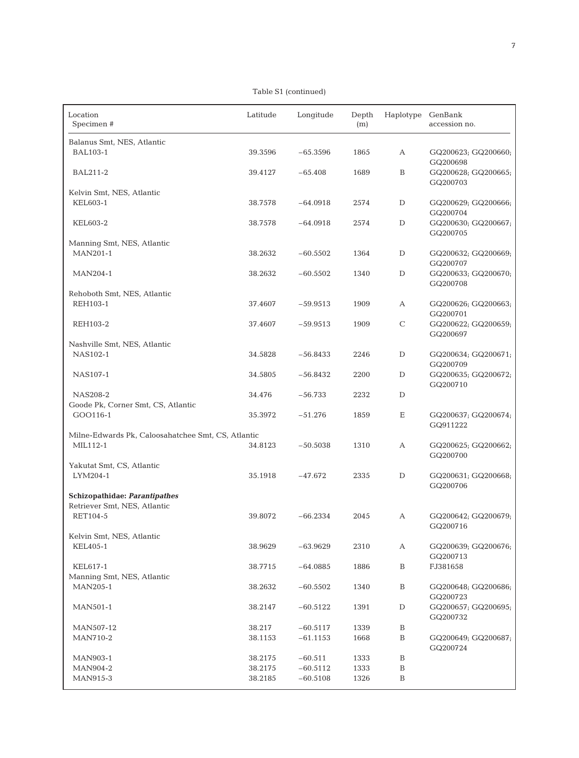Table S1 (continued)

| Location<br>Specimen #                             | Latitude | Longitude  | Depth<br>(m) | Haplotype GenBank | accession no.                   |
|----------------------------------------------------|----------|------------|--------------|-------------------|---------------------------------|
| Balanus Smt, NES, Atlantic                         |          |            |              |                   |                                 |
| <b>BAL103-1</b>                                    | 39.3596  | $-65.3596$ | 1865         | А                 | GQ200623; GQ200660;<br>GQ200698 |
| <b>BAL211-2</b>                                    | 39.4127  | $-65.408$  | 1689         | B                 | GQ200628; GQ200665;<br>GQ200703 |
| Kelvin Smt, NES, Atlantic<br>KEL603-1              | 38.7578  | $-64.0918$ | 2574         | D                 | GQ200629; GQ200666;<br>GQ200704 |
| KEL603-2                                           | 38.7578  | $-64.0918$ | 2574         | D                 | GQ200630; GQ200667;<br>GQ200705 |
| Manning Smt, NES, Atlantic                         |          |            |              |                   |                                 |
| <b>MAN201-1</b>                                    | 38.2632  | $-60.5502$ | 1364         | D                 | GQ200632; GQ200669;<br>GQ200707 |
| MAN204-1                                           | 38.2632  | $-60.5502$ | 1340         | D                 | GQ200633; GQ200670;<br>GQ200708 |
| Rehoboth Smt, NES, Atlantic                        |          |            |              |                   |                                 |
| REH103-1                                           | 37.4607  | $-59.9513$ | 1909         | А                 | GQ200626; GQ200663;<br>GQ200701 |
| REH103-2                                           | 37.4607  | $-59.9513$ | 1909         | $\mathsf C$       | GQ200622; GQ200659;<br>GQ200697 |
| Nashville Smt, NES, Atlantic                       |          |            |              |                   |                                 |
| NAS102-1                                           | 34.5828  | $-56.8433$ | 2246         | D                 | GQ200634; GQ200671;<br>GQ200709 |
| NAS107-1                                           | 34.5805  | $-56.8432$ | 2200         | D                 | GQ200635; GQ200672;<br>GQ200710 |
| NAS208-2                                           | 34.476   | $-56.733$  | 2232         | D                 |                                 |
| Goode Pk, Corner Smt, CS, Atlantic<br>GOO116-1     | 35.3972  | $-51.276$  | 1859         | Ε                 | GQ200637; GQ200674;<br>GQ911222 |
| Milne-Edwards Pk, Caloosahatchee Smt, CS, Atlantic |          |            |              |                   |                                 |
| MIL112-1                                           | 34.8123  | $-50.5038$ | 1310         | А                 | GQ200625; GQ200662;<br>GQ200700 |
| Yakutat Smt, CS, Atlantic                          |          |            |              |                   |                                 |
| LYM204-1                                           | 35.1918  | $-47.672$  | 2335         | D                 | GQ200631; GQ200668;<br>GQ200706 |
| <b>Schizopathidae: Parantipathes</b>               |          |            |              |                   |                                 |
| Retriever Smt, NES, Atlantic<br>RET104-5           | 39.8072  | $-66.2334$ | 2045         | А                 | GQ200642; GQ200679;<br>GQ200716 |
| Kelvin Smt, NES, Atlantic                          |          |            |              |                   |                                 |
| <b>KEL405-1</b>                                    | 38.9629  | $-63.9629$ | 2310         | А                 | GQ200639; GQ200676;<br>GQ200713 |
| KEL617-1<br>Manning Smt, NES, Atlantic             | 38.7715  | $-64.0885$ | 1886         | $\, {\bf B}$      | FJ381658                        |
| MAN205-1                                           | 38.2632  | $-60.5502$ | 1340         | $\, {\bf B}$      | GQ200648; GQ200686;<br>GQ200723 |
| <b>MAN501-1</b>                                    | 38.2147  | $-60.5122$ | 1391         | $\mathbf D$       | GQ200657; GQ200695;<br>GQ200732 |
| MAN507-12                                          | 38.217   | $-60.5117$ | 1339         | B                 |                                 |
| <b>MAN710-2</b>                                    | 38.1153  | $-61.1153$ | 1668         | B                 | GQ200649; GQ200687;<br>GQ200724 |
| MAN903-1                                           | 38.2175  | $-60.511$  | 1333         | $\, {\bf B}$      |                                 |
| <b>MAN904-2</b>                                    | 38.2175  | $-60.5112$ | 1333         | $\, {\bf B}$      |                                 |
| MAN915-3                                           | 38.2185  | $-60.5108$ | 1326         | $\, {\bf B}$      |                                 |